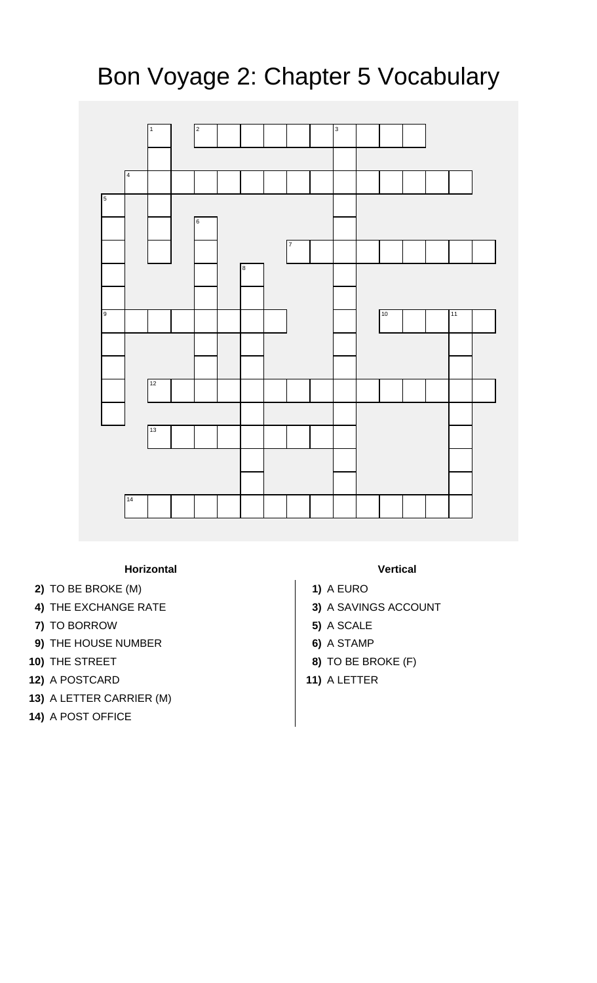## Bon Voyage 2: Chapter 5 Vocabulary



## **Horizontal Vertical**

- **2)** TO BE BROKE (M) **1)** A EURO
- 
- **7)** TO BORROW **5)** A SCALE
- **9)** THE HOUSE NUMBER **6)** A STAMP
- 
- **12)** A POSTCARD **11)** A LETTER
- **13)** A LETTER CARRIER (M)
- **14)** A POST OFFICE

- 
- **4)** THE EXCHANGE RATE **3)** A SAVINGS ACCOUNT
	-
	-
- **10)** THE STREET **8)** TO BE BROKE (F)
	-